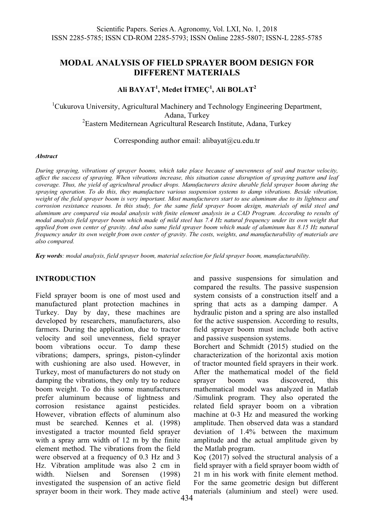# **MODAL ANALYSIS OF FIELD SPRAYER BOOM DESIGN FOR DIFFERENT MATERIALS**

## **Ali BAYAT<sup>1</sup> , Medet İTMEÇ<sup>1</sup> , Ali BOLAT2**

<sup>1</sup>Cukurova University, Agricultural Machinery and Technology Engineering Department, Adana, Turkey 2 Eastern Mediternean Agricultural Research Institute, Adana, Turkey

Corresponding author email: alibayat@cu.edu.tr

#### *Abstract*

*During spraying, vibrations of sprayer booms, which take place because of unevenness of soil and tractor velocity, affect the success of spraying. When vibrations increase, this situation cause disruption of spraying pattern and leaf coverage. Thus, the yield of agricultural product drops. Manufacturers desire durable field sprayer boom during the spraying operation. To do this, they manufacture various suspension systems to damp vibrations. Beside vibration, weight of the field sprayer boom is very important. Most manufacturers start to use aluminum due to its lightness and corrosion resistance reasons. In this study, for the same field sprayer boom design, materials of mild steel and aluminum are compared via modal analysis with finite element analysis in a CAD Program. According to results of modal analysis field sprayer boom which made of mild steel has 7.4 Hz natural frequency under its own weight that applied from own center of gravity. And also same field sprayer boom which made of aluminum has 8.15 Hz natural frequency under its own weight from own center of gravity. The costs, weights, and manufacturability of materials are also compared.* 

*Key words: modal analysis, field sprayer boom, material selection for field sprayer boom, manufacturability.*

## **INTRODUCTION**

Field sprayer boom is one of most used and manufactured plant protection machines in Turkey. Day by day, these machines are developed by researchers, manufacturers, also farmers. During the application, due to tractor velocity and soil unevenness, field sprayer boom vibrations occur. To damp these vibrations; dampers, springs, piston-cylinder with cushioning are also used. However, in Turkey, most of manufacturers do not study on damping the vibrations, they only try to reduce boom weight. To do this some manufacturers prefer aluminum because of lightness and corrosion resistance against pesticides. However, vibration effects of aluminum also must be searched. Kennes et al. (1998) investigated a tractor mounted field sprayer with a spray arm width of 12 m by the finite element method. The vibrations from the field were observed at a frequency of 0.3 Hz and 3 Hz. Vibration amplitude was also 2 cm in width. Nielsen and Sorensen (1998) investigated the suspension of an active field sprayer boom in their work. They made active

and passive suspensions for simulation and compared the results. The passive suspension system consists of a construction itself and a spring that acts as a damping damper. A hydraulic piston and a spring are also installed for the active suspension. According to results, field sprayer boom must include both active and passive suspension systems.

Borchert and Schmidt (2015) studied on the characterization of the horizontal axis motion of tractor mounted field sprayers in their work. After the mathematical model of the field sprayer boom was discovered, this mathematical model was analyzed in Matlab /Simulink program. They also operated the related field sprayer boom on a vibration machine at 0-3 Hz and measured the working amplitude. Then observed data was a standard deviation of 1.4% between the maximum amplitude and the actual amplitude given by the Matlab program.

Koç (2017) solved the structural analysis of a field sprayer with a field sprayer boom width of 21 m in his work with finite element method. For the same geometric design but different materials (aluminium and steel) were used.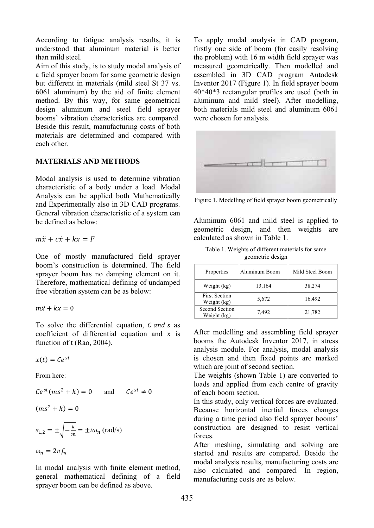According to fatigue analysis results, it is understood that aluminum material is better than mild steel

Aim of this study, is to study modal analysis of a field sprayer boom for same geometric design but different in materials (mild steel St 37 vs. 6061 aluminum) by the aid of finite element method. By this way, for same geometrical design aluminum and steel field sprayer booms' vibration characteristics are compared. Beside this result, manufacturing costs of both materials are determined and compared with each other.

## **MATERIALS AND METHODS**

Modal analysis is used to determine vibration characteristic of a body under a load. Modal Analysis can be applied both Mathematically and Experimentally also in 3D CAD programs. General vibration characteristic of a system can be defined as below:

$$
m\ddot{x} + c\dot{x} + kx = F
$$

One of mostly manufactured field sprayer boom's construction is determined. The field sprayer boom has no damping element on it. Therefore, mathematical defining of undamped free vibration system can be as below:

$$
m\ddot{x} + kx = 0
$$

To solve the differential equation, C and s as coefficient of differential equation and x is function of t (Rao, 2004).

 $x(t) = Ce^{st}$ 

From here:

$$
Ce^{st}(ms^2 + k) = 0 \qquad \text{and} \qquad Ce^{st} \neq 0
$$

$$
(ms^2+k)=0
$$

$$
s_{1,2} = \pm \sqrt{-\frac{k}{m}} = \pm i\omega_n \text{ (rad/s)}
$$

 $\omega_n = 2\pi f_n$ 

In modal analysis with finite element method, general mathematical defining of a field sprayer boom can be defined as above.

To apply modal analysis in CAD program, firstly one side of boom (for easily resolving the problem) with 16 m width field sprayer was measured geometrically. Then modelled and assembled in 3D CAD program Autodesk Inventor 2017 (Figure 1). In field sprayer boom  $40*40*3$  rectangular profiles are used (both in aluminum and mild steel). After modelling. both materials mild steel and aluminum 6061 were chosen for analysis.



Figure 1. Modelling of field sprayer boom geometrically

Aluminum 6061 and mild steel is applied to geometric design, and then weights are calculated as shown in Table 1.

| Table 1. Weights of different materials for same |  |
|--------------------------------------------------|--|
| geometric design                                 |  |

| Properties                          | Aluminum Boom | Mild Steel Boom |
|-------------------------------------|---------------|-----------------|
| Weight (kg)                         | 13,164        | 38,274          |
| <b>First Section</b><br>Weight (kg) | 5,672         | 16,492          |
| Second Section<br>Weight (kg)       | 7,492         | 21,782          |

After modelling and assembling field sprayer booms the Autodesk Inventor 2017, in stress analysis module. For analysis, modal analysis is chosen and then fixed points are marked which are joint of second section.

The weights (shown Table 1) are converted to loads and applied from each centre of gravity of each boom section.

In this study, only vertical forces are evaluated. Because horizontal inertial forces changes during a time period also field sprayer booms' construction are designed to resist vertical forces.

After meshing, simulating and solving are started and results are compared. Beside the modal analysis results, manufacturing costs are also calculated and compared. In region, manufacturing costs are as below.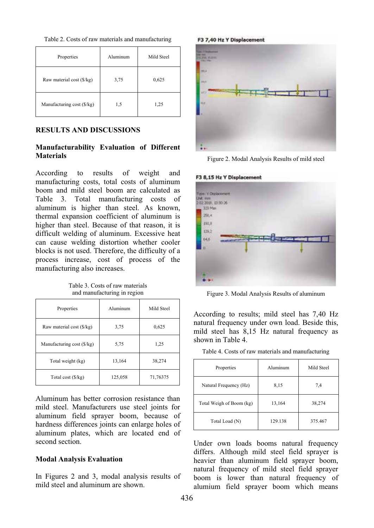| Properties                 | Aluminum | Mild Steel |  |
|----------------------------|----------|------------|--|
| Raw material cost (\$/kg)  | 3,75     | 0,625      |  |
| Manufacturing cost (\$/kg) | 1,5      | 1,25       |  |

### **RESULTS AND DISCUSSIONS**

### **Manufacturability Evaluation of Different Materials**

According to results of weight and manufacturing costs, total costs of aluminum boom and mild steel boom are calculated as Table 3. Total manufacturing costs of aluminum is higher than steel. As known, thermal expansion coefficient of aluminum is higher than steel. Because of that reason, it is difficult welding of aluminum. Excessive heat can cause welding distortion whether cooler blocks is not used. Therefore, the difficulty of a process increase, cost of process of the manufacturing also increases.

Table 3. Costs of raw materials and manufacturing in region

| Properties                 | Aluminum | Mild Steel |  |
|----------------------------|----------|------------|--|
| Raw material cost (\$/kg)  | 3,75     | 0,625      |  |
| Manufacturing cost (\$/kg) | 5,75     | 1,25       |  |
| Total weight (kg)          | 13,164   | 38,274     |  |
| Total cost (\$/kg)         | 125,058  | 71,76375   |  |

Aluminum has better corrosion resistance than mild steel. Manufacturers use steel joints for aluminum field sprayer boom, because of hardness differences joints can enlarge holes of aluminum plates, which are located end of second section.

#### **Modal Analysis Evaluation**

In Figures 2 and 3, modal analysis results of mild steel and aluminum are shown.

F3 7,40 Hz Y Displacement



Figure 2. Modal Analysis Results of mild steel

#### F3 8.15 Hz Y Displacement



Figure 3. Modal Analysis Results of aluminum

According to results; mild steel has 7,40 Hz natural frequency under own load. Beside this, mild steel has 8,15 Hz natural frequency as shown in Table 4.

|  |  | Table 4. Costs of raw materials and manufacturing |  |
|--|--|---------------------------------------------------|--|
|  |  |                                                   |  |

| Properties               | Aluminum | Mild Steel |  |
|--------------------------|----------|------------|--|
| Natural Frequency (Hz)   | 8,15     | 7.4        |  |
| Total Weigh of Boom (kg) | 13,164   | 38,274     |  |
| Total Load (N)           | 129.138  | 375.467    |  |

Under own loads booms natural frequency differs. Although mild steel field sprayer is heavier than aluminum field sprayer boom, natural frequency of mild steel field sprayer boom is lower than natural frequency of alumium field sprayer boom which means